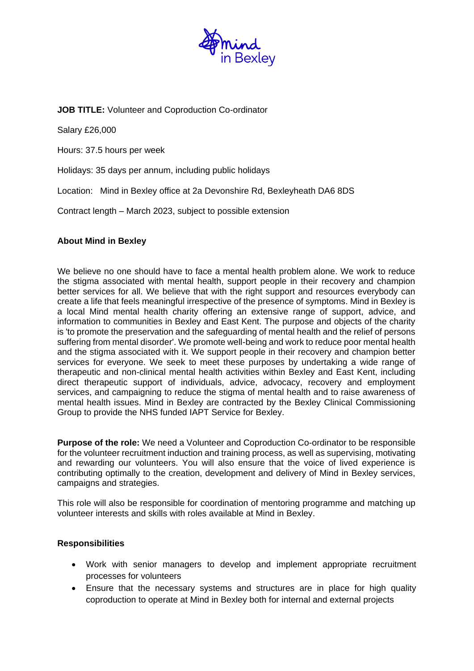

## **JOB TITLE:** Volunteer and Coproduction Co-ordinator

Salary £26,000

Hours: 37.5 hours per week

Holidays: 35 days per annum, including public holidays

Location: Mind in Bexley office at 2a Devonshire Rd, Bexleyheath DA6 8DS

Contract length – March 2023, subject to possible extension

## **About Mind in Bexley**

We believe no one should have to face a mental health problem alone. We work to reduce the stigma associated with mental health, support people in their recovery and champion better services for all. We believe that with the right support and resources everybody can create a life that feels meaningful irrespective of the presence of symptoms. Mind in Bexley is a local Mind mental health charity offering an extensive range of support, advice, and information to communities in Bexley and East Kent. The purpose and objects of the charity is 'to promote the preservation and the safeguarding of mental health and the relief of persons suffering from mental disorder'. We promote well-being and work to reduce poor mental health and the stigma associated with it. We support people in their recovery and champion better services for everyone. We seek to meet these purposes by undertaking a wide range of therapeutic and non-clinical mental health activities within Bexley and East Kent, including direct therapeutic support of individuals, advice, advocacy, recovery and employment services, and campaigning to reduce the stigma of mental health and to raise awareness of mental health issues. Mind in Bexley are contracted by the Bexley Clinical Commissioning Group to provide the NHS funded IAPT Service for Bexley.

**Purpose of the role:** We need a Volunteer and Coproduction Co-ordinator to be responsible for the volunteer recruitment induction and training process, as well as supervising, motivating and rewarding our volunteers. You will also ensure that the voice of lived experience is contributing optimally to the creation, development and delivery of Mind in Bexley services, campaigns and strategies.

This role will also be responsible for coordination of mentoring programme and matching up volunteer interests and skills with roles available at Mind in Bexley.

## **Responsibilities**

- Work with senior managers to develop and implement appropriate recruitment processes for volunteers
- Ensure that the necessary systems and structures are in place for high quality coproduction to operate at Mind in Bexley both for internal and external projects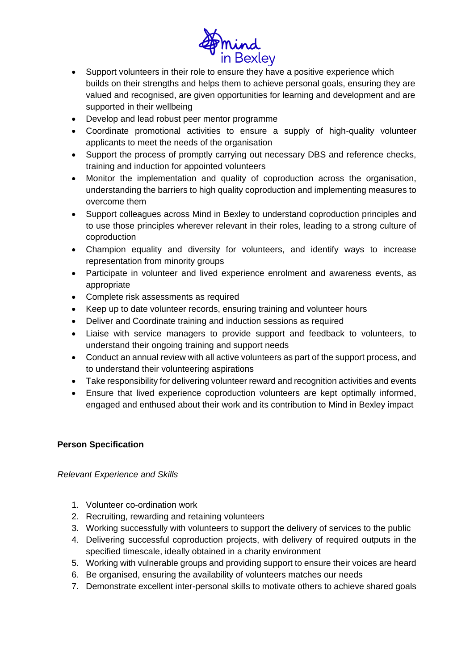

- Support volunteers in their role to ensure they have a positive experience which builds on their strengths and helps them to achieve personal goals, ensuring they are valued and recognised, are given opportunities for learning and development and are supported in their wellbeing
- Develop and lead robust peer mentor programme
- Coordinate promotional activities to ensure a supply of high-quality volunteer applicants to meet the needs of the organisation
- Support the process of promptly carrying out necessary DBS and reference checks, training and induction for appointed volunteers
- Monitor the implementation and quality of coproduction across the organisation, understanding the barriers to high quality coproduction and implementing measures to overcome them
- Support colleagues across Mind in Bexley to understand coproduction principles and to use those principles wherever relevant in their roles, leading to a strong culture of coproduction
- Champion equality and diversity for volunteers, and identify ways to increase representation from minority groups
- Participate in volunteer and lived experience enrolment and awareness events, as appropriate
- Complete risk assessments as required
- Keep up to date volunteer records, ensuring training and volunteer hours
- Deliver and Coordinate training and induction sessions as required
- Liaise with service managers to provide support and feedback to volunteers, to understand their ongoing training and support needs
- Conduct an annual review with all active volunteers as part of the support process, and to understand their volunteering aspirations
- Take responsibility for delivering volunteer reward and recognition activities and events
- Ensure that lived experience coproduction volunteers are kept optimally informed, engaged and enthused about their work and its contribution to Mind in Bexley impact

# **Person Specification**

## *Relevant Experience and Skills*

- 1. Volunteer co-ordination work
- 2. Recruiting, rewarding and retaining volunteers
- 3. Working successfully with volunteers to support the delivery of services to the public
- 4. Delivering successful coproduction projects, with delivery of required outputs in the specified timescale, ideally obtained in a charity environment
- 5. Working with vulnerable groups and providing support to ensure their voices are heard
- 6. Be organised, ensuring the availability of volunteers matches our needs
- 7. Demonstrate excellent inter-personal skills to motivate others to achieve shared goals